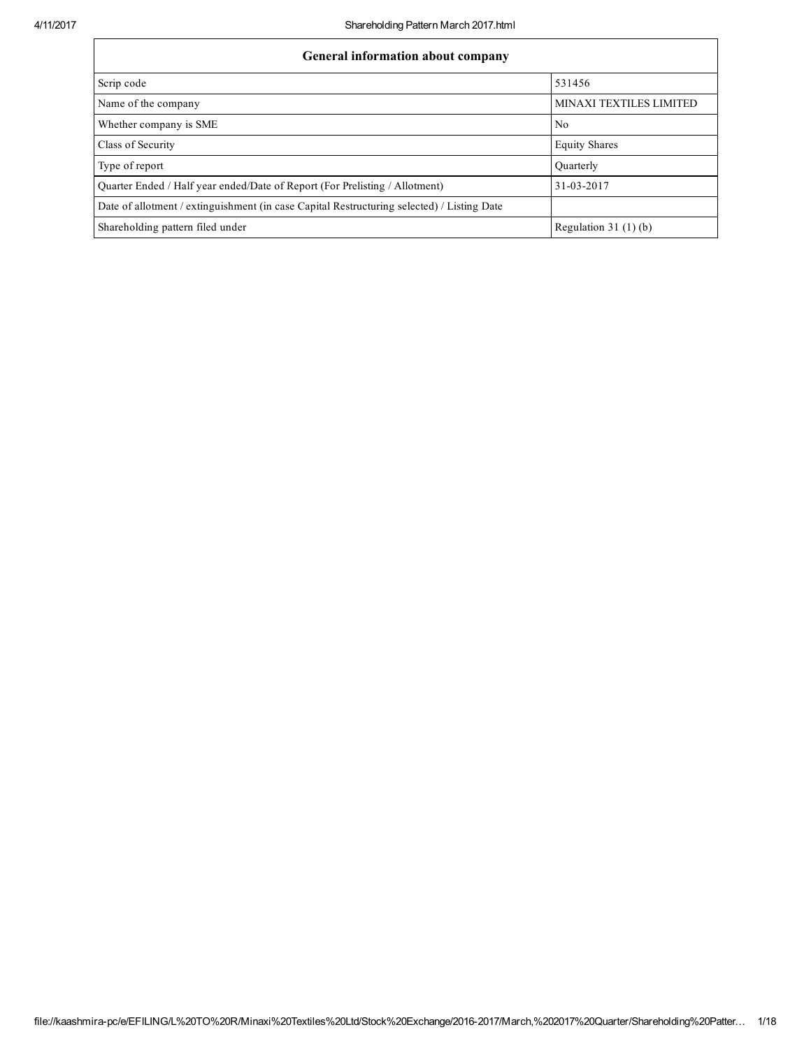| <b>General information about company</b>                                                   |                                |
|--------------------------------------------------------------------------------------------|--------------------------------|
| Scrip code                                                                                 | 531456                         |
| Name of the company                                                                        | <b>MINAXI TEXTILES LIMITED</b> |
| Whether company is SME                                                                     | N <sub>0</sub>                 |
| Class of Security                                                                          | <b>Equity Shares</b>           |
| Type of report                                                                             | Quarterly                      |
| Quarter Ended / Half year ended/Date of Report (For Prelisting / Allotment)                | 31-03-2017                     |
| Date of allotment / extinguishment (in case Capital Restructuring selected) / Listing Date |                                |
| Shareholding pattern filed under                                                           | Regulation 31 $(1)(b)$         |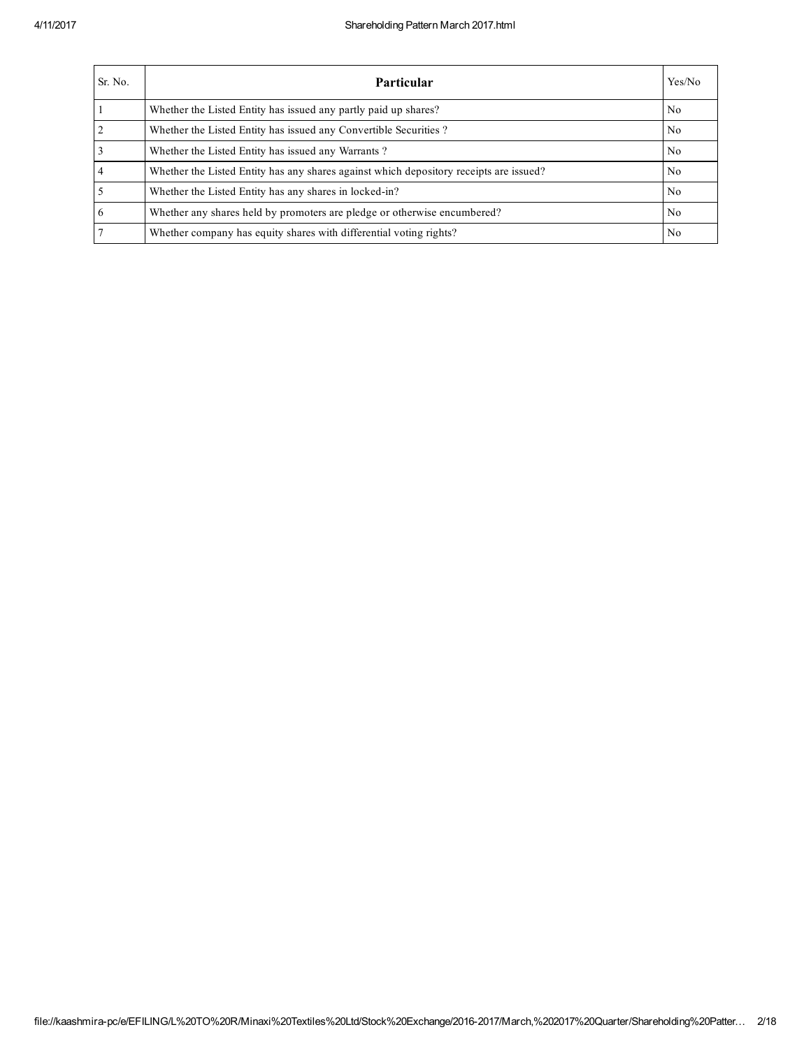| Sr. No.        | <b>Particular</b>                                                                      | Yes/No         |
|----------------|----------------------------------------------------------------------------------------|----------------|
|                | Whether the Listed Entity has issued any partly paid up shares?                        | N <sub>0</sub> |
| 2              | Whether the Listed Entity has issued any Convertible Securities?                       | No             |
| 3              | Whether the Listed Entity has issued any Warrants?                                     | No.            |
| $\overline{4}$ | Whether the Listed Entity has any shares against which depository receipts are issued? | No.            |
| 5              | Whether the Listed Entity has any shares in locked-in?                                 | N <sub>0</sub> |
| 6              | Whether any shares held by promoters are pledge or otherwise encumbered?               | No.            |
| $\overline{7}$ | Whether company has equity shares with differential voting rights?                     | No             |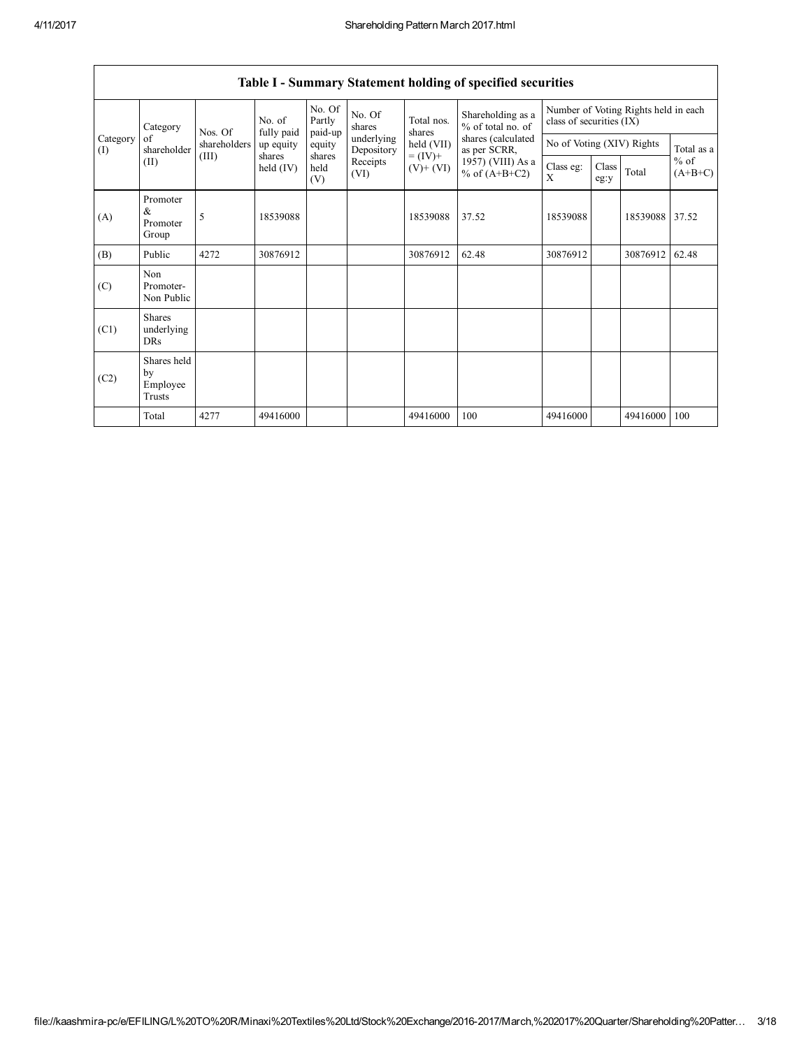| Category<br>Category<br>of<br>(I) | Nos. Of                                   | No. of       | No. Of<br>Partly        | No. Of<br>shares<br>paid-up               | Total nos.<br>shares     | Shareholding as a<br>% of total no. of | class of securities (IX)             |                           | Number of Voting Rights held in each |          |                     |
|-----------------------------------|-------------------------------------------|--------------|-------------------------|-------------------------------------------|--------------------------|----------------------------------------|--------------------------------------|---------------------------|--------------------------------------|----------|---------------------|
|                                   | shareholder                               | shareholders | fully paid<br>up equity | equity                                    | underlying<br>Depository | held (VII)                             | shares (calculated<br>as per SCRR,   | No of Voting (XIV) Rights |                                      |          | Total as a          |
|                                   | (III)<br>(II)                             |              | shares<br>held (IV)     | shares<br>Receipts<br>held<br>(VI)<br>(V) |                          | $= (IV) +$<br>$(V)$ + $(VI)$           | 1957) (VIII) As a<br>% of $(A+B+C2)$ | Class eg:<br>X            | Class<br>eg:y                        | Total    | $%$ of<br>$(A+B+C)$ |
| (A)                               | Promoter<br>&<br>Promoter<br>Group        | 5            | 18539088                |                                           |                          | 18539088                               | 37.52                                | 18539088                  |                                      | 18539088 | 37.52               |
| (B)                               | Public                                    | 4272         | 30876912                |                                           |                          | 30876912                               | 62.48                                | 30876912                  |                                      | 30876912 | 62.48               |
| (C)                               | Non<br>Promoter-<br>Non Public            |              |                         |                                           |                          |                                        |                                      |                           |                                      |          |                     |
| (C1)                              | <b>Shares</b><br>underlying<br><b>DRs</b> |              |                         |                                           |                          |                                        |                                      |                           |                                      |          |                     |
| (C2)                              | Shares held<br>by<br>Employee<br>Trusts   |              |                         |                                           |                          |                                        |                                      |                           |                                      |          |                     |
|                                   | Total                                     | 4277         | 49416000                |                                           |                          | 49416000                               | 100                                  | 49416000                  |                                      | 49416000 | 100                 |

## Table I - Summary Statement holding of specified securities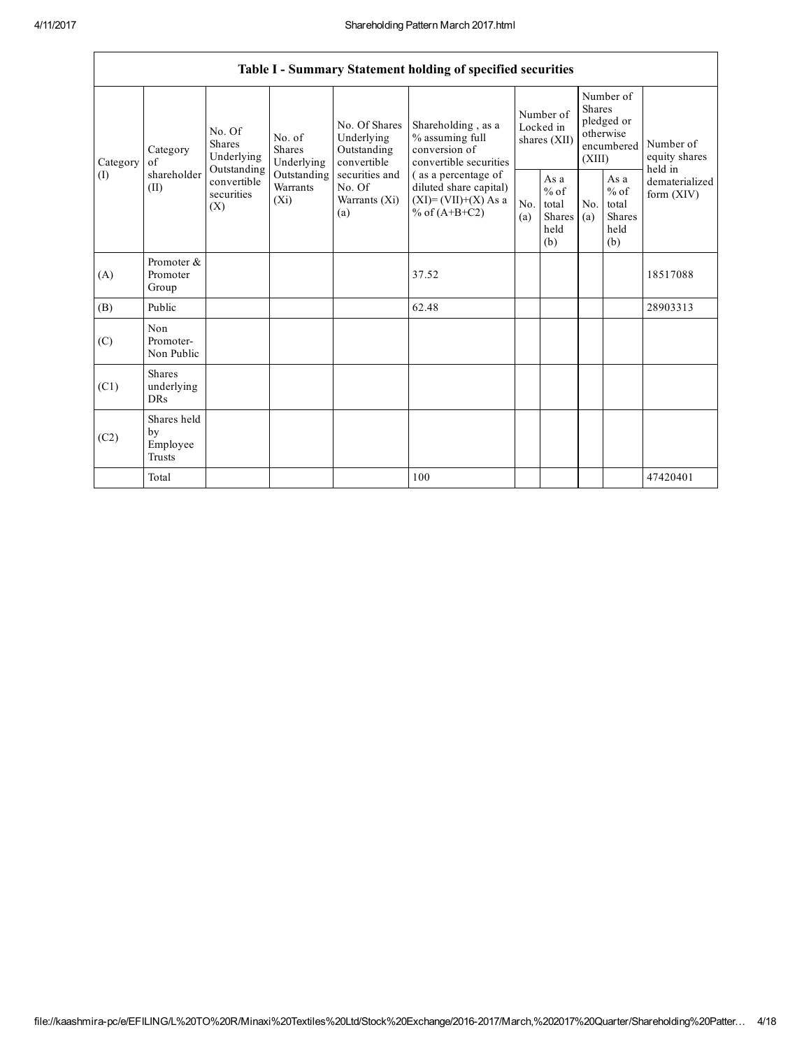٦

|                                                          |                                                                                       |                                       |                                                  |                                                                                             | Table I - Summary Statement holding of specified securities                      |                                                         |            |                                                                               |  |                                                                         |
|----------------------------------------------------------|---------------------------------------------------------------------------------------|---------------------------------------|--------------------------------------------------|---------------------------------------------------------------------------------------------|----------------------------------------------------------------------------------|---------------------------------------------------------|------------|-------------------------------------------------------------------------------|--|-------------------------------------------------------------------------|
| Category<br>Category<br>of<br>shareholder<br>(I)<br>(II) |                                                                                       | No. Of<br><b>Shares</b><br>Underlying | No. of<br><b>Shares</b><br>Underlying            | No. Of Shares<br>Underlying<br>Outstanding<br>convertible                                   | Shareholding, as a<br>% assuming full<br>conversion of<br>convertible securities | Number of<br>Locked in<br>shares (XII)                  |            | Number of<br><b>Shares</b><br>pledged or<br>otherwise<br>encumbered<br>(XIII) |  | Number of<br>equity shares<br>held in<br>dematerialized<br>form $(XIV)$ |
|                                                          | Outstanding<br>Outstanding<br>convertible<br>Warrants<br>securities<br>$(X_i)$<br>(X) |                                       | securities and<br>No. Of<br>Warrants (Xi)<br>(a) | (as a percentage of<br>diluted share capital)<br>$(XI) = (VII)+(X) As a$<br>% of $(A+B+C2)$ | No.<br>(a)                                                                       | As a<br>$%$ of<br>total<br><b>Shares</b><br>held<br>(b) | No.<br>(a) | As a<br>$%$ of<br>total<br>Shares<br>held<br>(b)                              |  |                                                                         |
| (A)                                                      | Promoter &<br>Promoter<br>Group                                                       |                                       |                                                  |                                                                                             | 37.52                                                                            |                                                         |            |                                                                               |  | 18517088                                                                |
| (B)                                                      | Public                                                                                |                                       |                                                  |                                                                                             | 62.48                                                                            |                                                         |            |                                                                               |  | 28903313                                                                |
| (C)                                                      | Non<br>Promoter-<br>Non Public                                                        |                                       |                                                  |                                                                                             |                                                                                  |                                                         |            |                                                                               |  |                                                                         |
| (C1)                                                     | <b>Shares</b><br>underlying<br><b>DRs</b>                                             |                                       |                                                  |                                                                                             |                                                                                  |                                                         |            |                                                                               |  |                                                                         |
| (C2)                                                     | Shares held<br>by<br>Employee<br>Trusts                                               |                                       |                                                  |                                                                                             |                                                                                  |                                                         |            |                                                                               |  |                                                                         |
|                                                          | Total                                                                                 |                                       |                                                  |                                                                                             | 100                                                                              |                                                         |            |                                                                               |  | 47420401                                                                |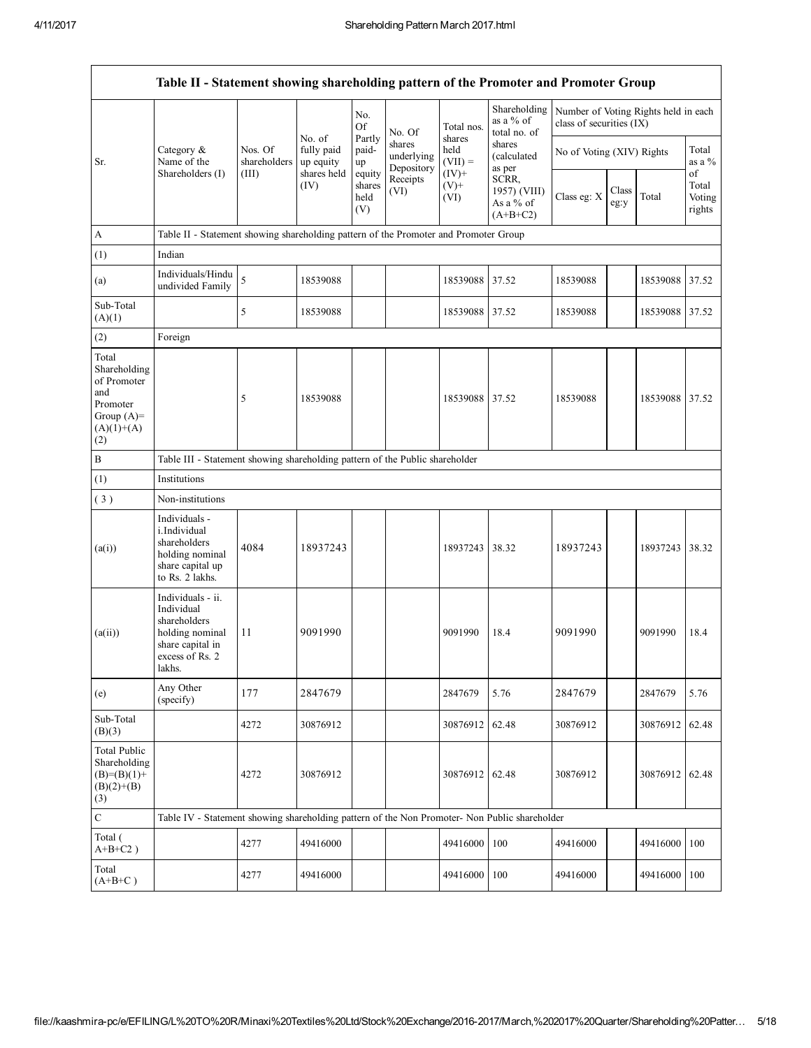|                                                                                                | Table II - Statement showing shareholding pattern of the Promoter and Promoter Group                                |                                  |                                   |                                 |                                    |                                        |                                                  |                                                                  |               |                |                           |
|------------------------------------------------------------------------------------------------|---------------------------------------------------------------------------------------------------------------------|----------------------------------|-----------------------------------|---------------------------------|------------------------------------|----------------------------------------|--------------------------------------------------|------------------------------------------------------------------|---------------|----------------|---------------------------|
|                                                                                                |                                                                                                                     |                                  |                                   | No.<br>Of                       | No. Of                             | Total nos.                             | Shareholding<br>as a % of<br>total no. of        | Number of Voting Rights held in each<br>class of securities (IX) |               |                |                           |
| Sr.                                                                                            | Category &<br>Name of the<br>Shareholders (I)                                                                       | Nos. Of<br>shareholders<br>(III) | No. of<br>fully paid<br>up equity | Partly<br>paid-<br>up           | shares<br>underlying<br>Depository | shares<br>held<br>$(VII) =$<br>$(IV)+$ | shares<br>(calculated<br>as per                  | No of Voting (XIV) Rights                                        |               |                | Total<br>as a $%$<br>of   |
|                                                                                                |                                                                                                                     |                                  | shares held<br>(IV)               | equity<br>shares<br>held<br>(V) | Receipts<br>(VI)                   | $(V)$ +<br>(VI)                        | SCRR,<br>1957) (VIII)<br>As a % of<br>$(A+B+C2)$ | Class eg: X                                                      | Class<br>eg:y | Total          | Total<br>Voting<br>rights |
| A                                                                                              | Table II - Statement showing shareholding pattern of the Promoter and Promoter Group                                |                                  |                                   |                                 |                                    |                                        |                                                  |                                                                  |               |                |                           |
| (1)                                                                                            | Indian                                                                                                              |                                  |                                   |                                 |                                    |                                        |                                                  |                                                                  |               |                |                           |
| (a)                                                                                            | Individuals/Hindu<br>undivided Family                                                                               | 5                                | 18539088                          |                                 |                                    | 18539088                               | 37.52                                            | 18539088                                                         |               | 18539088       | 37.52                     |
| Sub-Total<br>(A)(1)                                                                            |                                                                                                                     | 5                                | 18539088                          |                                 |                                    | 18539088 37.52                         |                                                  | 18539088                                                         |               | 18539088 37.52 |                           |
| (2)                                                                                            | Foreign                                                                                                             |                                  |                                   |                                 |                                    |                                        |                                                  |                                                                  |               |                |                           |
| Total<br>Shareholding<br>of Promoter<br>and<br>Promoter<br>Group $(A)=$<br>$(A)(1)+(A)$<br>(2) |                                                                                                                     | 5                                | 18539088                          |                                 |                                    | 18539088                               | 37.52                                            | 18539088                                                         |               | 18539088       | 37.52                     |
| B                                                                                              | Table III - Statement showing shareholding pattern of the Public shareholder                                        |                                  |                                   |                                 |                                    |                                        |                                                  |                                                                  |               |                |                           |
| (1)                                                                                            | Institutions                                                                                                        |                                  |                                   |                                 |                                    |                                        |                                                  |                                                                  |               |                |                           |
| (3)                                                                                            | Non-institutions                                                                                                    |                                  |                                   |                                 |                                    |                                        |                                                  |                                                                  |               |                |                           |
| (a(i))                                                                                         | Individuals -<br>i.Individual<br>shareholders<br>holding nominal<br>share capital up<br>to Rs. 2 lakhs.             | 4084                             | 18937243                          |                                 |                                    | 18937243                               | 38.32                                            | 18937243                                                         |               | 18937243       | 38.32                     |
| (a(ii))                                                                                        | Individuals - ii.<br>Individual<br>shareholders<br>holding nominal<br>share capital in<br>excess of Rs. 2<br>lakhs. | 11                               | 9091990                           |                                 |                                    | 9091990                                | 18.4                                             | 9091990                                                          |               | 9091990        | 18.4                      |
| (e)                                                                                            | Any Other<br>(specify)                                                                                              | 177                              | 2847679                           |                                 |                                    | 2847679                                | 5.76                                             | 2847679                                                          |               | 2847679        | 5.76                      |
| Sub-Total<br>(B)(3)                                                                            |                                                                                                                     | 4272                             | 30876912                          |                                 |                                    | 30876912                               | 62.48                                            | 30876912                                                         |               | 30876912       | 62.48                     |
| <b>Total Public</b><br>Shareholding<br>$(B)=(B)(1)+$<br>$(B)(2)+(B)$<br>(3)                    |                                                                                                                     | 4272                             | 30876912                          |                                 |                                    | 30876912                               | 62.48                                            | 30876912                                                         |               | 30876912       | 62.48                     |
| $\mathbf C$                                                                                    | Table IV - Statement showing shareholding pattern of the Non Promoter- Non Public shareholder                       |                                  |                                   |                                 |                                    |                                        |                                                  |                                                                  |               |                |                           |
| Total (<br>$A+B+C2$ )                                                                          |                                                                                                                     | 4277                             | 49416000                          |                                 |                                    | 49416000                               | 100                                              | 49416000                                                         |               | 49416000       | 100                       |
| Total<br>$(A+B+C)$                                                                             |                                                                                                                     | 4277                             | 49416000                          |                                 |                                    | 49416000                               | 100                                              | 49416000                                                         |               | 49416000       | 100                       |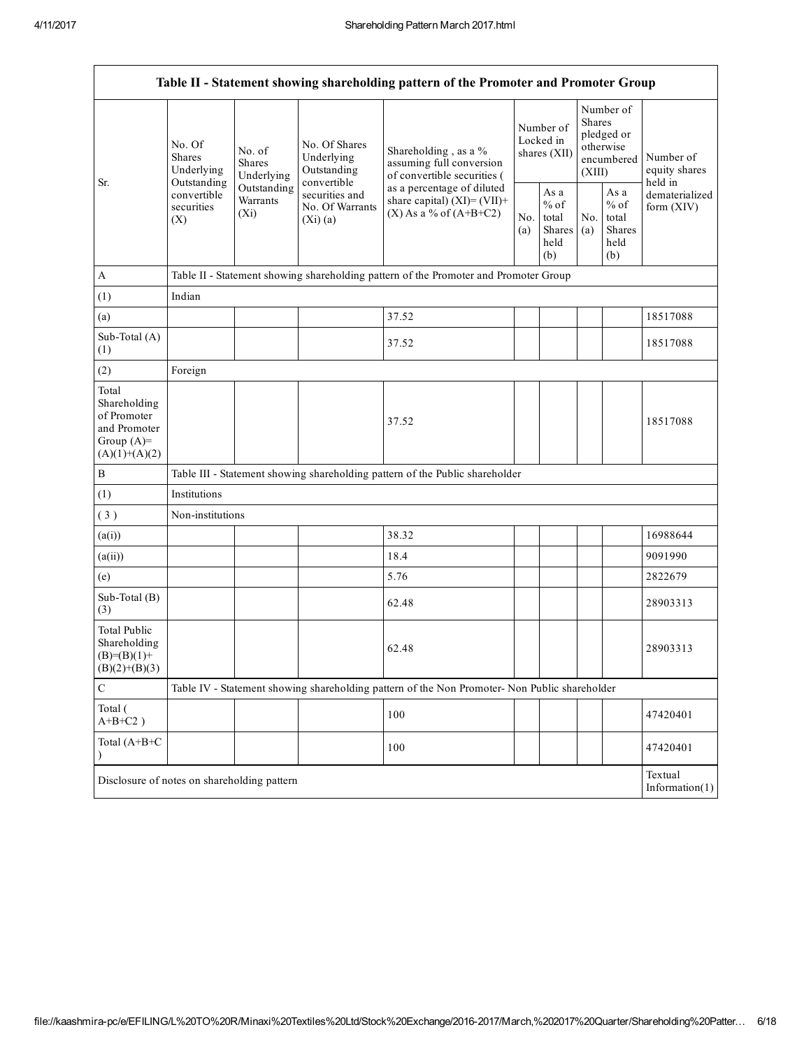|                                                                                         | Table II - Statement showing shareholding pattern of the Promoter and Promoter Group |                                       |                                                                                                           |                                                                                               |            |                                                  |                         |                                                    |                                       |
|-----------------------------------------------------------------------------------------|--------------------------------------------------------------------------------------|---------------------------------------|-----------------------------------------------------------------------------------------------------------|-----------------------------------------------------------------------------------------------|------------|--------------------------------------------------|-------------------------|----------------------------------------------------|---------------------------------------|
| Sr.                                                                                     | No. Of<br><b>Shares</b><br>Underlying                                                | No. of<br><b>Shares</b><br>Underlying | No. Of Shares<br>Underlying<br>Outstanding<br>convertible<br>securities and<br>No. Of Warrants<br>(Xi)(a) | Shareholding, as a %<br>assuming full conversion<br>of convertible securities (               |            | Number of<br>Locked in<br>shares (XII)           | <b>Shares</b><br>(XIII) | Number of<br>pledged or<br>otherwise<br>encumbered | Number of<br>equity shares<br>held in |
|                                                                                         | Outstanding<br>convertible<br>securities<br>(X)                                      | Outstanding<br>Warrants<br>$(X_i)$    |                                                                                                           | as a percentage of diluted<br>share capital) $(XI)=(VII)+$<br>$(X)$ As a % of $(A+B+C2)$      | No.<br>(a) | As a<br>$%$ of<br>total<br>Shares<br>held<br>(b) | No.<br>(a)              | As a<br>$%$ of<br>total<br>Shares<br>held<br>(b)   | dematerialized<br>form (XIV)          |
| $\mathbf{A}$                                                                            |                                                                                      |                                       |                                                                                                           | Table II - Statement showing shareholding pattern of the Promoter and Promoter Group          |            |                                                  |                         |                                                    |                                       |
| (1)                                                                                     | Indian                                                                               |                                       |                                                                                                           |                                                                                               |            |                                                  |                         |                                                    |                                       |
| (a)                                                                                     |                                                                                      |                                       |                                                                                                           | 37.52                                                                                         |            |                                                  |                         |                                                    | 18517088                              |
| Sub-Total (A)<br>(1)                                                                    |                                                                                      |                                       |                                                                                                           | 37.52                                                                                         |            |                                                  |                         |                                                    | 18517088                              |
| (2)                                                                                     | Foreign                                                                              |                                       |                                                                                                           |                                                                                               |            |                                                  |                         |                                                    |                                       |
| Total<br>Shareholding<br>of Promoter<br>and Promoter<br>Group $(A)=$<br>$(A)(1)+(A)(2)$ |                                                                                      |                                       |                                                                                                           | 37.52                                                                                         |            |                                                  |                         |                                                    | 18517088                              |
| $\, {\bf B}$                                                                            |                                                                                      |                                       |                                                                                                           | Table III - Statement showing shareholding pattern of the Public shareholder                  |            |                                                  |                         |                                                    |                                       |
| (1)                                                                                     | Institutions                                                                         |                                       |                                                                                                           |                                                                                               |            |                                                  |                         |                                                    |                                       |
| (3)                                                                                     | Non-institutions                                                                     |                                       |                                                                                                           |                                                                                               |            |                                                  |                         |                                                    |                                       |
| (a(i))                                                                                  |                                                                                      |                                       |                                                                                                           | 38.32                                                                                         |            |                                                  |                         |                                                    | 16988644                              |
| (a(ii))                                                                                 |                                                                                      |                                       |                                                                                                           | 18.4                                                                                          |            |                                                  |                         |                                                    | 9091990                               |
| (e)                                                                                     |                                                                                      |                                       |                                                                                                           | 5.76                                                                                          |            |                                                  |                         |                                                    | 2822679                               |
| Sub-Total (B)<br>(3)                                                                    |                                                                                      |                                       |                                                                                                           | 62.48                                                                                         |            |                                                  |                         |                                                    | 28903313                              |
| <b>Total Public</b><br>Shareholding<br>$(B)=(B)(1)+$<br>$(B)(2)+(B)(3)$                 |                                                                                      |                                       |                                                                                                           | 62.48                                                                                         |            |                                                  |                         |                                                    | 28903313                              |
| $\mathsf C$                                                                             |                                                                                      |                                       |                                                                                                           | Table IV - Statement showing shareholding pattern of the Non Promoter- Non Public shareholder |            |                                                  |                         |                                                    |                                       |
| Total (<br>$A+B+C2$ )                                                                   |                                                                                      |                                       |                                                                                                           | 100                                                                                           |            |                                                  |                         |                                                    | 47420401                              |
| Total (A+B+C                                                                            |                                                                                      |                                       |                                                                                                           | 100                                                                                           |            |                                                  |                         |                                                    | 47420401                              |
| Textual<br>Disclosure of notes on shareholding pattern<br>Information $(1)$             |                                                                                      |                                       |                                                                                                           |                                                                                               |            |                                                  |                         |                                                    |                                       |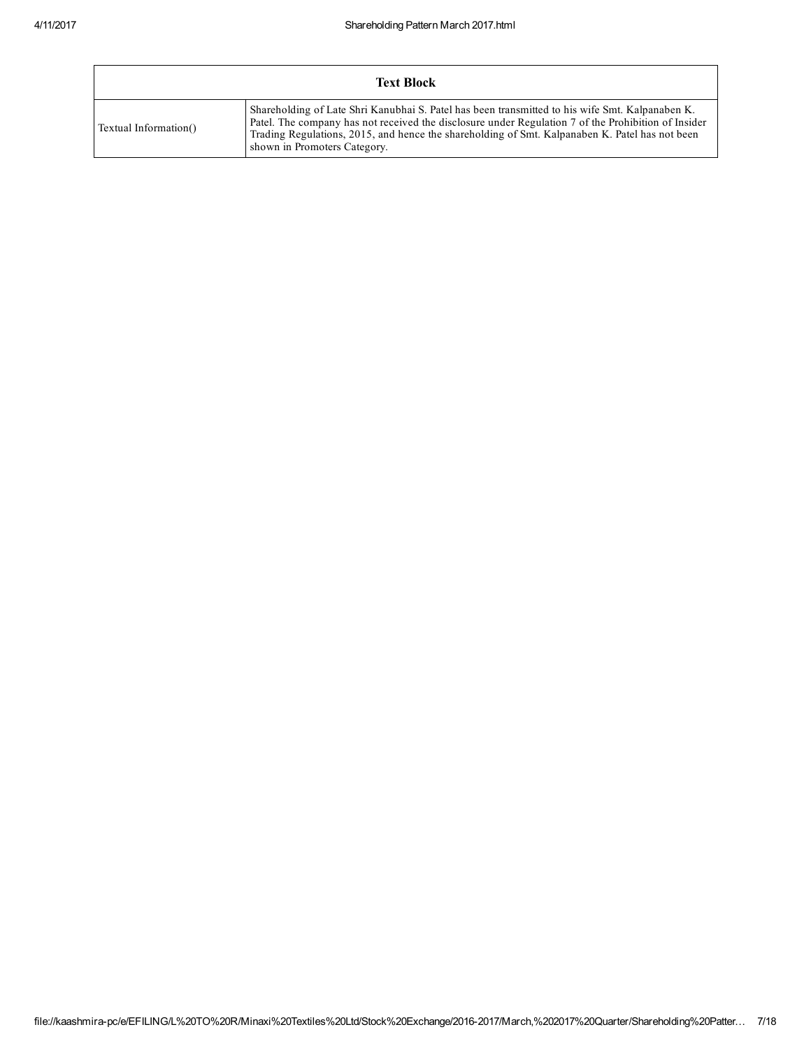|                       | <b>Text Block</b>                                                                                                                                                                                                                                                                                                                        |
|-----------------------|------------------------------------------------------------------------------------------------------------------------------------------------------------------------------------------------------------------------------------------------------------------------------------------------------------------------------------------|
| Textual Information() | Shareholding of Late Shri Kanubhai S. Patel has been transmitted to his wife Smt. Kalpanaben K.<br>Patel. The company has not received the disclosure under Regulation 7 of the Prohibition of Insider<br>Trading Regulations, 2015, and hence the shareholding of Smt. Kalpanaben K. Patel has not been<br>shown in Promoters Category. |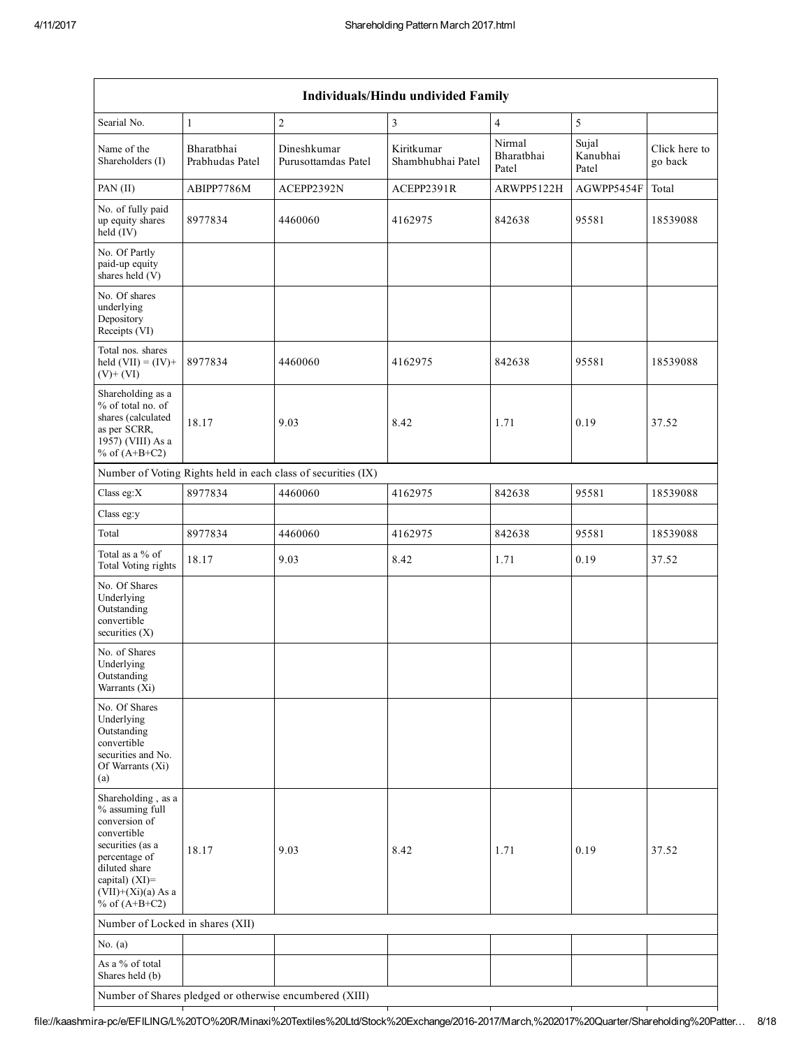|                                                                                                                                                                                             |                               |                                                               | Individuals/Hindu undivided Family |                               |                            |                          |
|---------------------------------------------------------------------------------------------------------------------------------------------------------------------------------------------|-------------------------------|---------------------------------------------------------------|------------------------------------|-------------------------------|----------------------------|--------------------------|
| Searial No.                                                                                                                                                                                 | $\mathbf{1}$                  | $\sqrt{2}$                                                    | 3                                  | $\overline{4}$                | 5                          |                          |
| Name of the<br>Shareholders (I)                                                                                                                                                             | Bharatbhai<br>Prabhudas Patel | Dineshkumar<br>Purusottamdas Patel                            | Kiritkumar<br>Shambhubhai Patel    | Nirmal<br>Bharatbhai<br>Patel | Sujal<br>Kanubhai<br>Patel | Click here to<br>go back |
| PAN (II)                                                                                                                                                                                    | ABIPP7786M                    | ACEPP2392N                                                    | ACEPP2391R                         | ARWPP5122H                    | AGWPP5454F                 | Total                    |
| No. of fully paid<br>up equity shares<br>held (IV)                                                                                                                                          | 8977834                       | 4460060                                                       | 4162975                            | 842638                        | 95581                      | 18539088                 |
| No. Of Partly<br>paid-up equity<br>shares held (V)                                                                                                                                          |                               |                                                               |                                    |                               |                            |                          |
| No. Of shares<br>underlying<br>Depository<br>Receipts (VI)                                                                                                                                  |                               |                                                               |                                    |                               |                            |                          |
| Total nos. shares<br>held $(VII) = (IV) +$<br>$(V)+(VI)$                                                                                                                                    | 8977834                       | 4460060                                                       | 4162975                            | 842638                        | 95581                      | 18539088                 |
| Shareholding as a<br>% of total no. of<br>shares (calculated<br>as per SCRR,<br>1957) (VIII) As a<br>% of $(A+B+C2)$                                                                        | 18.17                         | 9.03                                                          | 8.42                               | 1.71                          | 0.19                       | 37.52                    |
|                                                                                                                                                                                             |                               | Number of Voting Rights held in each class of securities (IX) |                                    |                               |                            |                          |
| Class eg: $X$                                                                                                                                                                               | 8977834                       | 4460060                                                       | 4162975                            | 842638                        | 95581                      | 18539088                 |
| Class eg:y                                                                                                                                                                                  |                               |                                                               |                                    |                               |                            |                          |
| Total                                                                                                                                                                                       | 8977834                       | 4460060                                                       | 4162975                            | 842638                        | 95581                      | 18539088                 |
| Total as a % of<br>Total Voting rights                                                                                                                                                      | 18.17                         | 9.03                                                          | 8.42                               | 1.71                          | 0.19                       | 37.52                    |
| No. Of Shares<br>Underlying<br>Outstanding<br>convertible<br>securities $(X)$                                                                                                               |                               |                                                               |                                    |                               |                            |                          |
| No. of Shares<br>Underlying<br>Outstanding<br>Warrants (Xi)                                                                                                                                 |                               |                                                               |                                    |                               |                            |                          |
| No. Of Shares<br>Underlying<br>Outstanding<br>convertible<br>securities and No.<br>Of Warrants (Xi)<br>(a)                                                                                  |                               |                                                               |                                    |                               |                            |                          |
| Shareholding, as a<br>% assuming full<br>conversion of<br>convertible<br>securities (as a<br>percentage of<br>diluted share<br>capital) $(XI)$ =<br>$(VII)+(Xi)(a)$ As a<br>% of $(A+B+C2)$ | 18.17                         | 9.03                                                          | 8.42                               | 1.71                          | 0.19                       | 37.52                    |
| Number of Locked in shares (XII)                                                                                                                                                            |                               |                                                               |                                    |                               |                            |                          |
| No. $(a)$                                                                                                                                                                                   |                               |                                                               |                                    |                               |                            |                          |
| As a % of total<br>Shares held (b)                                                                                                                                                          |                               |                                                               |                                    |                               |                            |                          |
| Number of Shares pledged or otherwise encumbered (XIII)                                                                                                                                     |                               |                                                               |                                    |                               |                            |                          |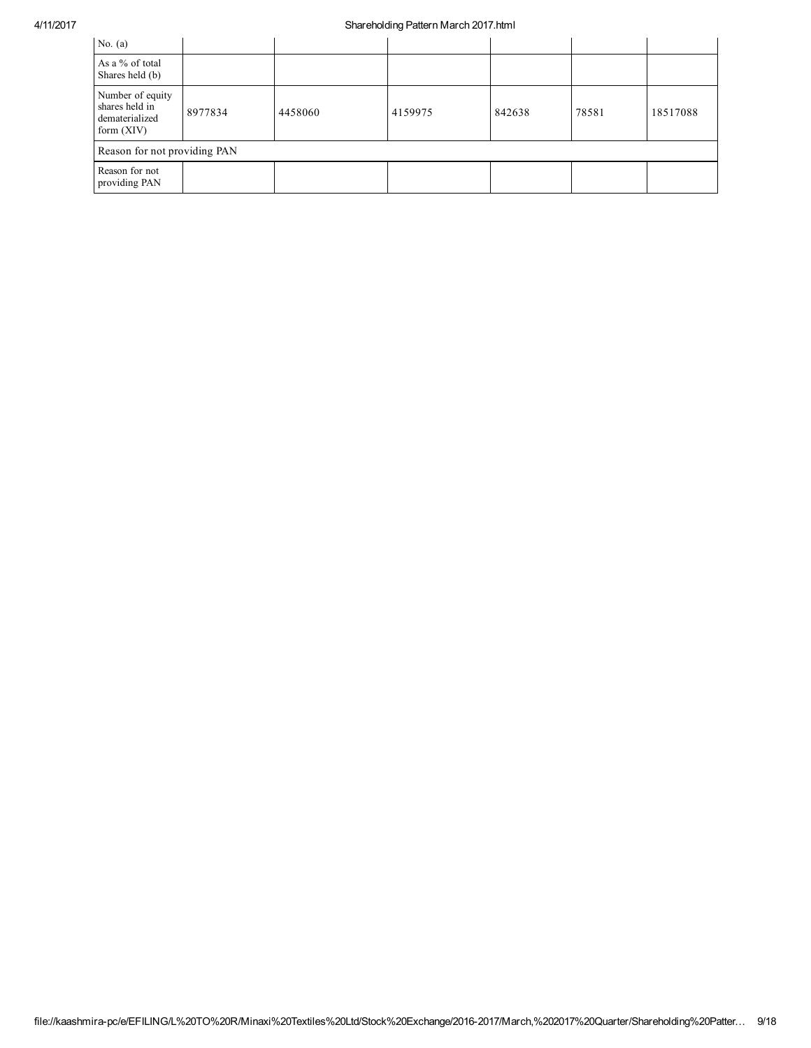| No. $(a)$                                                            |         |         |         |        |       |          |
|----------------------------------------------------------------------|---------|---------|---------|--------|-------|----------|
| As a % of total<br>Shares held (b)                                   |         |         |         |        |       |          |
| Number of equity<br>shares held in<br>dematerialized<br>form $(XIV)$ | 8977834 | 4458060 | 4159975 | 842638 | 78581 | 18517088 |
| Reason for not providing PAN                                         |         |         |         |        |       |          |
| Reason for not<br>providing PAN                                      |         |         |         |        |       |          |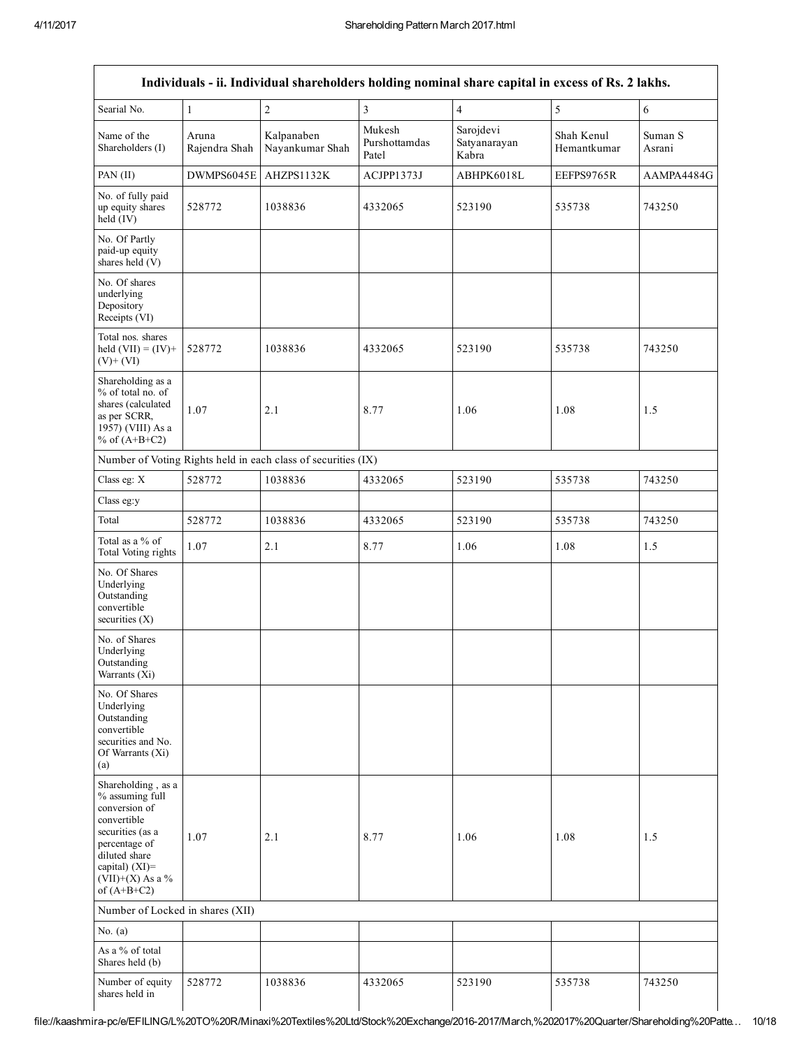|                                                                                                                                                                                         |                        | Individuals - ii. Individual shareholders holding nominal share capital in excess of Rs. 2 lakhs. |                                  |                                    |                           |                   |
|-----------------------------------------------------------------------------------------------------------------------------------------------------------------------------------------|------------------------|---------------------------------------------------------------------------------------------------|----------------------------------|------------------------------------|---------------------------|-------------------|
| Searial No.                                                                                                                                                                             | $\mathbf{1}$           | $\overline{2}$                                                                                    | $\overline{3}$                   | $\overline{4}$                     | 5                         | 6                 |
| Name of the<br>Shareholders (I)                                                                                                                                                         | Aruna<br>Rajendra Shah | Kalpanaben<br>Nayankumar Shah                                                                     | Mukesh<br>Purshottamdas<br>Patel | Sarojdevi<br>Satyanarayan<br>Kabra | Shah Kenul<br>Hemantkumar | Suman S<br>Asrani |
| PAN (II)                                                                                                                                                                                | DWMPS6045E             | AHZPS1132K                                                                                        | ACJPP1373J                       | ABHPK6018L                         | EEFPS9765R                | AAMPA4484G        |
| No. of fully paid<br>up equity shares<br>held (IV)                                                                                                                                      | 528772                 | 1038836                                                                                           | 4332065                          | 523190                             | 535738                    | 743250            |
| No. Of Partly<br>paid-up equity<br>shares held (V)                                                                                                                                      |                        |                                                                                                   |                                  |                                    |                           |                   |
| No. Of shares<br>underlying<br>Depository<br>Receipts (VI)                                                                                                                              |                        |                                                                                                   |                                  |                                    |                           |                   |
| Total nos. shares<br>held $(VII) = (IV) +$<br>$(V)+(VI)$                                                                                                                                | 528772                 | 1038836                                                                                           | 4332065                          | 523190                             | 535738                    | 743250            |
| Shareholding as a<br>% of total no. of<br>shares (calculated<br>as per SCRR,<br>1957) (VIII) As a<br>% of $(A+B+C2)$                                                                    | 1.07                   | 2.1                                                                                               | 8.77                             | 1.06                               | 1.08                      | 1.5               |
|                                                                                                                                                                                         |                        | Number of Voting Rights held in each class of securities (IX)                                     |                                  |                                    |                           |                   |
| Class eg: X                                                                                                                                                                             | 528772                 | 1038836                                                                                           | 4332065                          | 523190                             | 535738                    | 743250            |
| Class eg:y                                                                                                                                                                              |                        |                                                                                                   |                                  |                                    |                           |                   |
| Total                                                                                                                                                                                   | 528772                 | 1038836                                                                                           | 4332065                          | 523190                             | 535738                    | 743250            |
| Total as a % of<br>Total Voting rights                                                                                                                                                  | 1.07                   | 2.1                                                                                               | 8.77                             | 1.06                               | 1.08                      | 1.5               |
| No. Of Shares<br>Underlying<br>Outstanding<br>convertible<br>securities $(X)$                                                                                                           |                        |                                                                                                   |                                  |                                    |                           |                   |
| No. of Shares<br>Underlying<br>Outstanding<br>Warrants (Xi)                                                                                                                             |                        |                                                                                                   |                                  |                                    |                           |                   |
| No. Of Shares<br>Underlying<br>Outstanding<br>convertible<br>securities and No.<br>Of Warrants (Xi)<br>(a)                                                                              |                        |                                                                                                   |                                  |                                    |                           |                   |
| Shareholding, as a<br>% assuming full<br>conversion of<br>convertible<br>securities (as a<br>percentage of<br>diluted share<br>capital) $(XI)$ =<br>$(VII)+(X)$ As a %<br>of $(A+B+C2)$ | 1.07                   | 2.1                                                                                               | 8.77                             | 1.06                               | 1.08                      | 1.5               |
| Number of Locked in shares (XII)                                                                                                                                                        |                        |                                                                                                   |                                  |                                    |                           |                   |
| No. $(a)$                                                                                                                                                                               |                        |                                                                                                   |                                  |                                    |                           |                   |
| As a % of total<br>Shares held (b)                                                                                                                                                      |                        |                                                                                                   |                                  |                                    |                           |                   |
| Number of equity<br>shares held in                                                                                                                                                      | 528772                 | 1038836                                                                                           | 4332065                          | 523190                             | 535738                    | 743250            |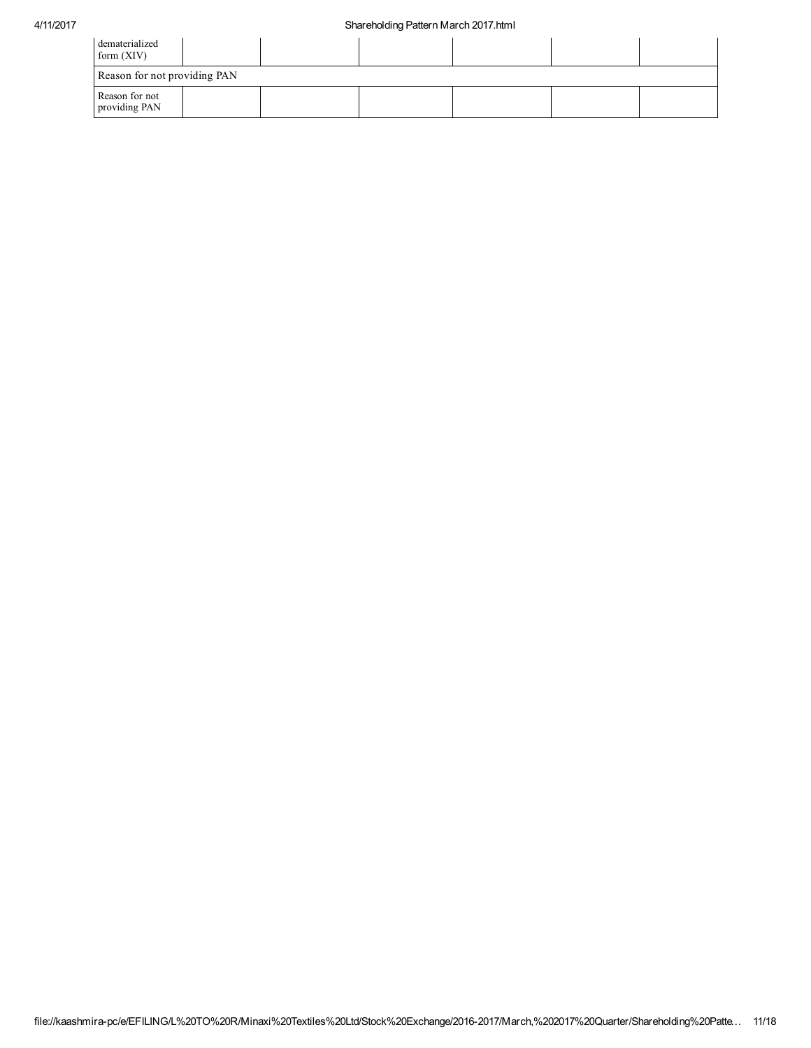| dematerialized<br>form $(XIV)$  |  |  |  |
|---------------------------------|--|--|--|
| Reason for not providing PAN    |  |  |  |
| Reason for not<br>providing PAN |  |  |  |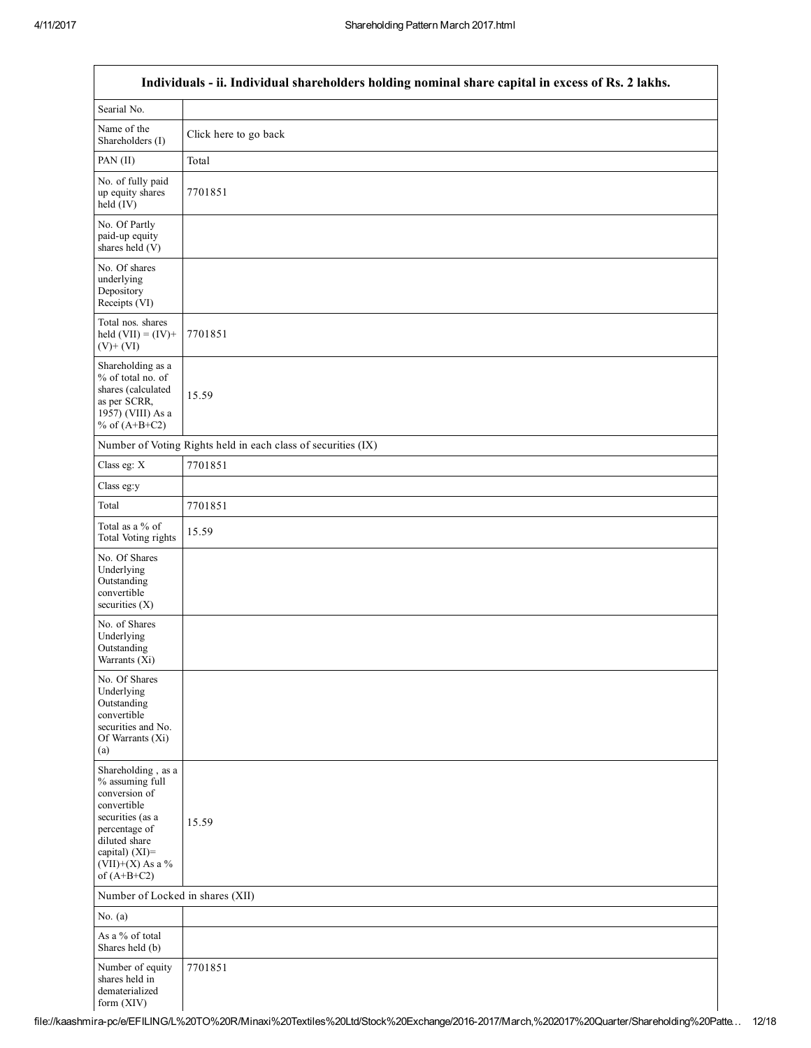|                                                                                                                                                                                      | Individuals - ii. Individual shareholders holding nominal share capital in excess of Rs. 2 lakhs. |
|--------------------------------------------------------------------------------------------------------------------------------------------------------------------------------------|---------------------------------------------------------------------------------------------------|
| Searial No.                                                                                                                                                                          |                                                                                                   |
| Name of the<br>Shareholders (I)                                                                                                                                                      | Click here to go back                                                                             |
| PAN (II)                                                                                                                                                                             | Total                                                                                             |
| No. of fully paid<br>up equity shares<br>held (IV)                                                                                                                                   | 7701851                                                                                           |
| No. Of Partly<br>paid-up equity<br>shares held (V)                                                                                                                                   |                                                                                                   |
| No. Of shares<br>underlying<br>Depository<br>Receipts (VI)                                                                                                                           |                                                                                                   |
| Total nos. shares<br>held $(VII) = (IV) +$<br>$(V)$ + $(VI)$                                                                                                                         | 7701851                                                                                           |
| Shareholding as a<br>% of total no. of<br>shares (calculated<br>as per SCRR,<br>1957) (VIII) As a<br>% of $(A+B+C2)$                                                                 | 15.59                                                                                             |
|                                                                                                                                                                                      | Number of Voting Rights held in each class of securities (IX)                                     |
| Class eg: X                                                                                                                                                                          | 7701851                                                                                           |
| Class eg:y                                                                                                                                                                           |                                                                                                   |
| Total                                                                                                                                                                                | 7701851                                                                                           |
| Total as a % of<br>Total Voting rights                                                                                                                                               | 15.59                                                                                             |
| No. Of Shares<br>Underlying<br>Outstanding<br>convertible<br>securities (X)                                                                                                          |                                                                                                   |
| No. of Shares<br>Underlying<br>Outstanding<br>Warrants (Xi)                                                                                                                          |                                                                                                   |
| No. Of Shares<br>Underlying<br>Outstanding<br>convertible<br>securities and No.<br>Of Warrants (Xi)<br>(a)                                                                           |                                                                                                   |
| Shareholding, as a<br>% assuming full<br>conversion of<br>convertible<br>securities (as a<br>percentage of<br>diluted share<br>capital) (XI)=<br>$(VII)+(X)$ As a %<br>of $(A+B+C2)$ | 15.59                                                                                             |
| Number of Locked in shares (XII)                                                                                                                                                     |                                                                                                   |
| No. $(a)$                                                                                                                                                                            |                                                                                                   |
| As a % of total<br>Shares held (b)                                                                                                                                                   |                                                                                                   |
| Number of equity<br>shares held in<br>dematerialized<br>form (XIV)                                                                                                                   | 7701851                                                                                           |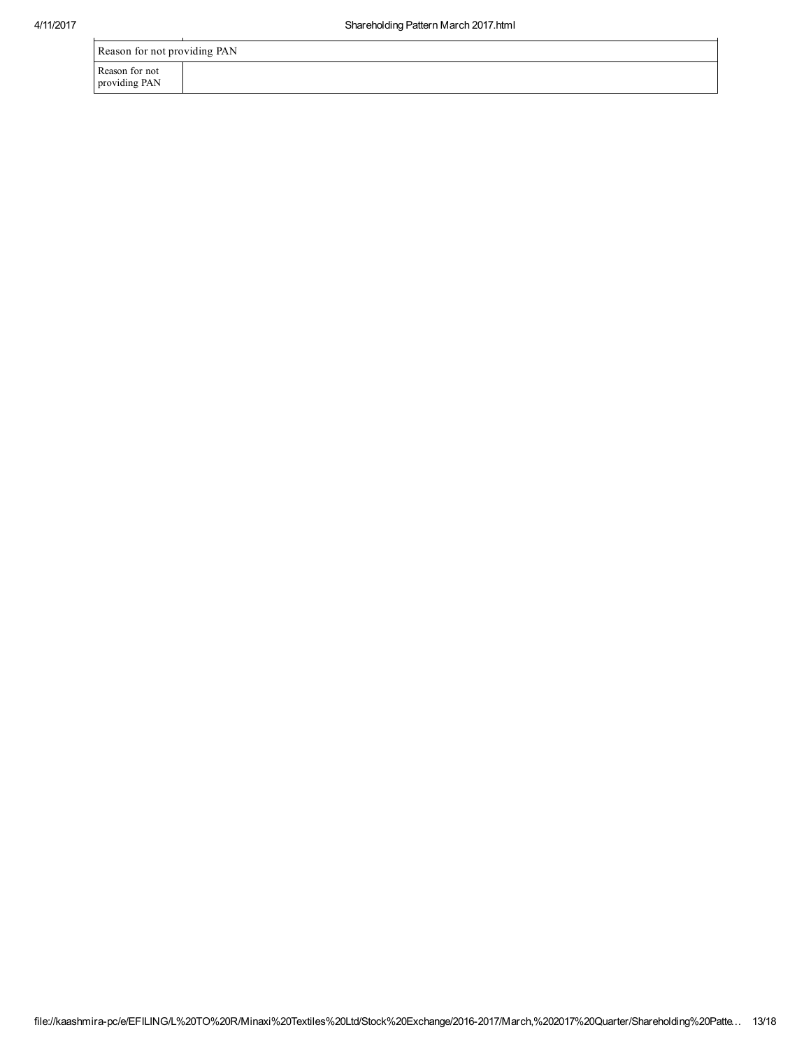|                                 | $5.14.01$ or to the triplet of the triplet of the triplet of the triplet of the triplet of the triplet of the triplet of the triplet of the triplet of the triplet of the triplet of the triplet of the triplet of the triple |
|---------------------------------|-------------------------------------------------------------------------------------------------------------------------------------------------------------------------------------------------------------------------------|
|                                 |                                                                                                                                                                                                                               |
| Reason for not providing PAN    |                                                                                                                                                                                                                               |
| Reason for not<br>providing PAN |                                                                                                                                                                                                                               |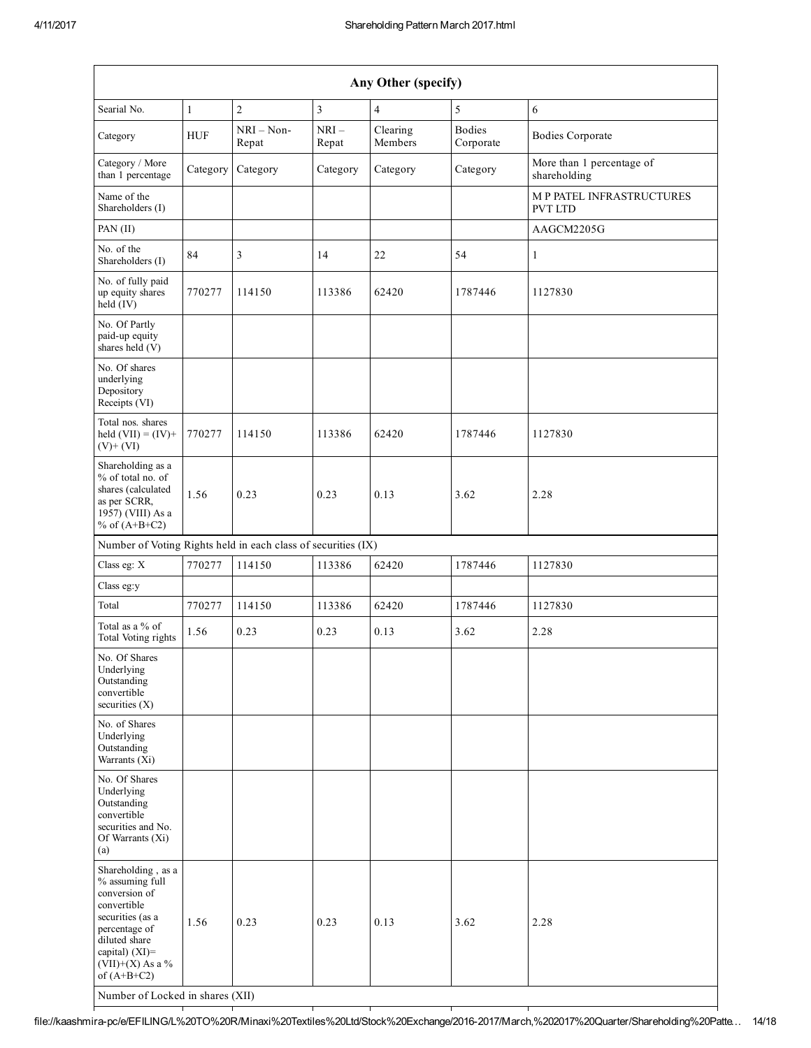| Any Other (specify)                                                                                                                                                                                                      |              |                       |                 |                     |                            |                                           |
|--------------------------------------------------------------------------------------------------------------------------------------------------------------------------------------------------------------------------|--------------|-----------------------|-----------------|---------------------|----------------------------|-------------------------------------------|
| Searial No.                                                                                                                                                                                                              | $\mathbf{1}$ | $\overline{2}$        | 3               | $\overline{4}$      | 5                          | $\sqrt{6}$                                |
| Category                                                                                                                                                                                                                 | <b>HUF</b>   | $NRI - Non-$<br>Repat | $NRI-$<br>Repat | Clearing<br>Members | <b>Bodies</b><br>Corporate | <b>Bodies Corporate</b>                   |
| Category / More<br>than 1 percentage                                                                                                                                                                                     | Category     | Category              | Category        | Category            | Category                   | More than 1 percentage of<br>shareholding |
| Name of the<br>Shareholders (I)                                                                                                                                                                                          |              |                       |                 |                     |                            | M P PATEL INFRASTRUCTURES<br>PVT LTD      |
| PAN (II)                                                                                                                                                                                                                 |              |                       |                 |                     |                            | AAGCM2205G                                |
| No. of the<br>Shareholders (I)                                                                                                                                                                                           | 84           | 3                     | 14              | 22                  | 54                         | $\mathbf{1}$                              |
| No. of fully paid<br>up equity shares<br>$held$ (IV)                                                                                                                                                                     | 770277       | 114150                | 113386          | 62420               | 1787446                    | 1127830                                   |
| No. Of Partly<br>paid-up equity<br>shares held $(V)$                                                                                                                                                                     |              |                       |                 |                     |                            |                                           |
| No. Of shares<br>underlying<br>Depository<br>Receipts (VI)                                                                                                                                                               |              |                       |                 |                     |                            |                                           |
| Total nos. shares<br>held $(VII) = (IV) +$<br>$(V)$ + $(VI)$                                                                                                                                                             | 770277       | 114150                | 113386          | 62420               | 1787446                    | 1127830                                   |
| Shareholding as a<br>% of total no. of<br>shares (calculated<br>as per SCRR,<br>1957) (VIII) As a<br>% of $(A+B+C2)$                                                                                                     | 1.56         | 0.23                  | 0.23            | 0.13                | 3.62                       | 2.28                                      |
| Number of Voting Rights held in each class of securities (IX)                                                                                                                                                            |              |                       |                 |                     |                            |                                           |
| Class eg: X                                                                                                                                                                                                              | 770277       | 114150                | 113386          | 62420               | 1787446                    | 1127830                                   |
| Class eg:y                                                                                                                                                                                                               |              |                       |                 |                     |                            |                                           |
| Total                                                                                                                                                                                                                    | 770277       | 114150                | 113386          | 62420               | 1787446                    | 1127830                                   |
| Total as a % of<br>Total Voting rights                                                                                                                                                                                   | 1.56         | 0.23                  | 0.23            | 0.13                | 3.62                       | 2.28                                      |
| No. Of Shares<br>Underlying<br>Outstanding<br>convertible<br>securities $(X)$                                                                                                                                            |              |                       |                 |                     |                            |                                           |
| No. of Shares<br>Underlying<br>Outstanding<br>Warrants $(Xi)$                                                                                                                                                            |              |                       |                 |                     |                            |                                           |
| No. Of Shares<br>Underlying<br>Outstanding<br>convertible<br>securities and No.<br>Of Warrants (Xi)<br>(a)                                                                                                               |              |                       |                 |                     |                            |                                           |
| Shareholding, as a<br>% assuming full<br>conversion of<br>convertible<br>securities (as a<br>percentage of<br>diluted share<br>capital) (XI)=<br>$(VII)+(X)$ As a %<br>of $(A+B+C2)$<br>Number of Locked in shares (XII) | 1.56         | 0.23                  | 0.23            | 0.13                | 3.62                       | 2.28                                      |

file://kaashmira-pc/e/EFILING/L%20TO%20R/Minaxi%20Textiles%20Ltd/Stock%20Exchange/2016-2017/March,%202017%20Quarter/Shareholding%20Patte... 14/18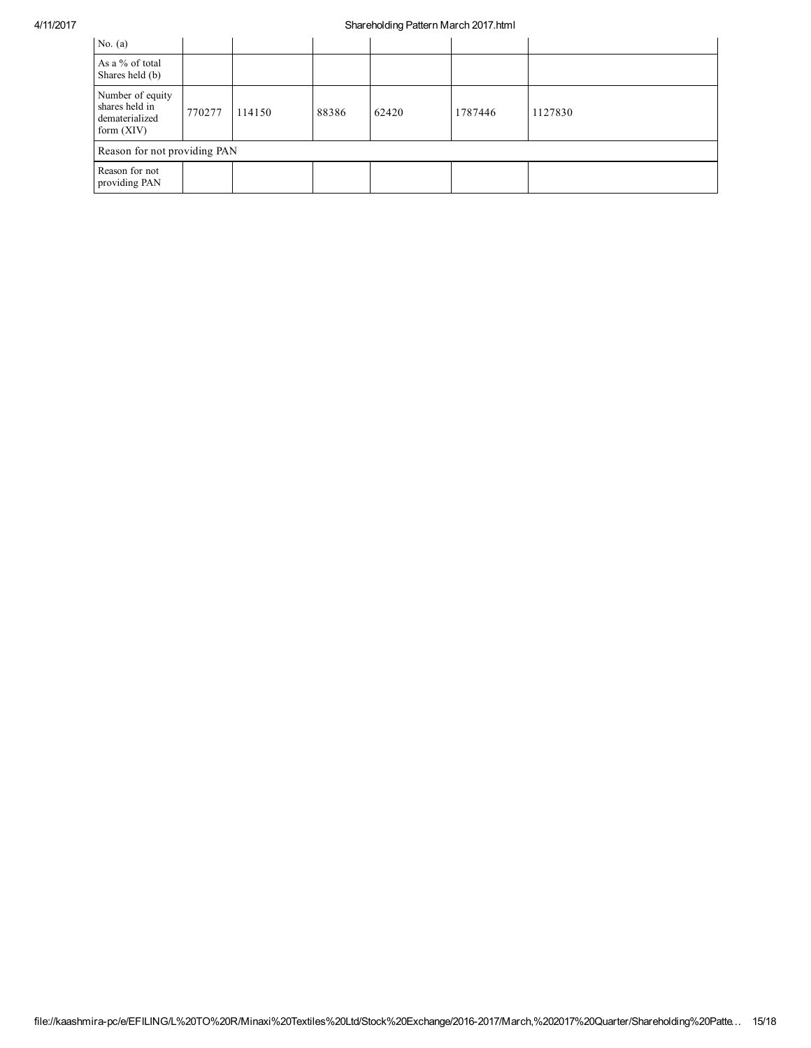## 4/11/2017 Shareholding Pattern March 2017.html

| No. $(a)$                                                            |        |        |       |       |         |         |
|----------------------------------------------------------------------|--------|--------|-------|-------|---------|---------|
| As a % of total<br>Shares held (b)                                   |        |        |       |       |         |         |
| Number of equity<br>shares held in<br>dematerialized<br>form $(XIV)$ | 770277 | 114150 | 88386 | 62420 | 1787446 | 1127830 |
| Reason for not providing PAN                                         |        |        |       |       |         |         |
| Reason for not<br>providing PAN                                      |        |        |       |       |         |         |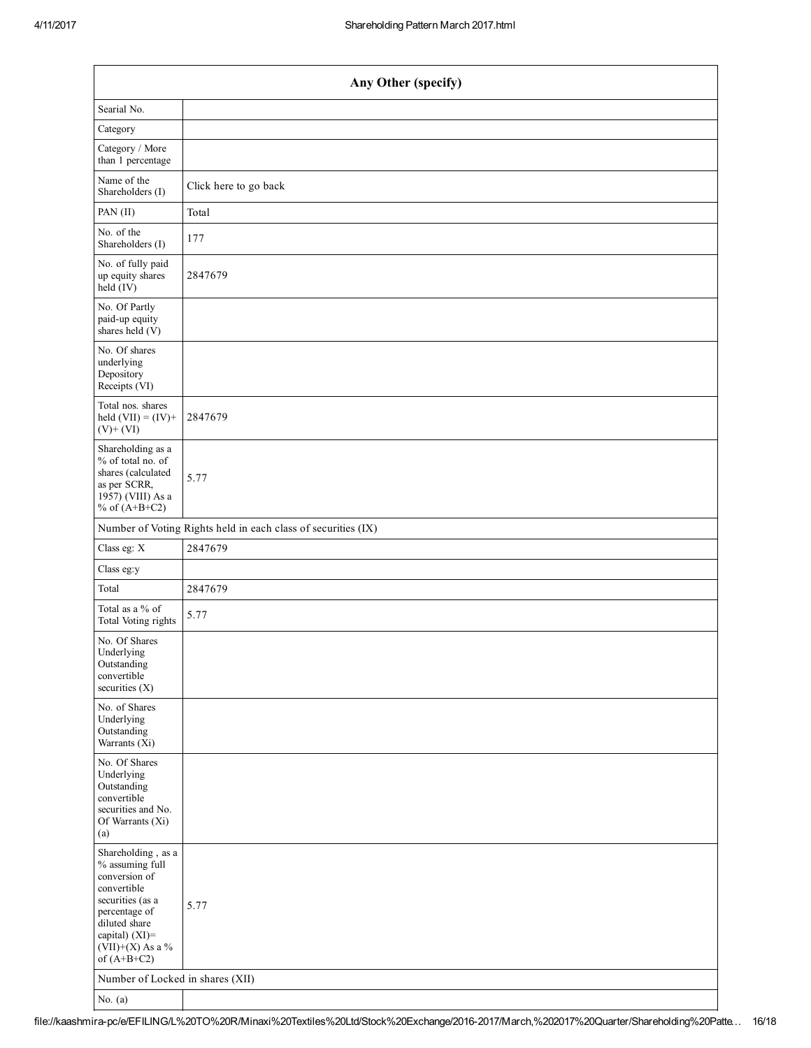| Any Other (specify)                                                                                                                                                                  |                                                               |  |  |  |  |  |
|--------------------------------------------------------------------------------------------------------------------------------------------------------------------------------------|---------------------------------------------------------------|--|--|--|--|--|
| Searial No.                                                                                                                                                                          |                                                               |  |  |  |  |  |
| Category                                                                                                                                                                             |                                                               |  |  |  |  |  |
| Category / More<br>than 1 percentage                                                                                                                                                 |                                                               |  |  |  |  |  |
| Name of the<br>Shareholders (I)                                                                                                                                                      | Click here to go back                                         |  |  |  |  |  |
| PAN (II)                                                                                                                                                                             | Total                                                         |  |  |  |  |  |
| No. of the<br>Shareholders (I)                                                                                                                                                       | 177                                                           |  |  |  |  |  |
| No. of fully paid<br>up equity shares<br>held (IV)                                                                                                                                   | 2847679                                                       |  |  |  |  |  |
| No. Of Partly<br>paid-up equity<br>shares held (V)                                                                                                                                   |                                                               |  |  |  |  |  |
| No. Of shares<br>underlying<br>Depository<br>Receipts (VI)                                                                                                                           |                                                               |  |  |  |  |  |
| Total nos. shares<br>held $(VII) = (IV) +$<br>$(V)+(VI)$                                                                                                                             | 2847679                                                       |  |  |  |  |  |
| Shareholding as a<br>% of total no. of<br>shares (calculated<br>as per SCRR,<br>1957) (VIII) As a<br>% of $(A+B+C2)$                                                                 | 5.77                                                          |  |  |  |  |  |
|                                                                                                                                                                                      | Number of Voting Rights held in each class of securities (IX) |  |  |  |  |  |
| Class eg: X                                                                                                                                                                          | 2847679                                                       |  |  |  |  |  |
| Class eg:y                                                                                                                                                                           |                                                               |  |  |  |  |  |
| Total                                                                                                                                                                                | 2847679                                                       |  |  |  |  |  |
| Total as a % of<br>Total Voting rights                                                                                                                                               | 5.77                                                          |  |  |  |  |  |
| No. Of Shares<br>Underlying<br>Outstanding<br>convertible<br>securities (X)                                                                                                          |                                                               |  |  |  |  |  |
| No. of Shares<br>Underlying<br>Outstanding<br>Warrants (Xi)                                                                                                                          |                                                               |  |  |  |  |  |
| No. Of Shares<br>Underlying<br>Outstanding<br>convertible<br>securities and No.<br>Of Warrants (Xi)<br>(a)                                                                           |                                                               |  |  |  |  |  |
| Shareholding, as a<br>% assuming full<br>conversion of<br>convertible<br>securities (as a<br>percentage of<br>diluted share<br>capital) (XI)=<br>$(VII)+(X)$ As a %<br>of $(A+B+C2)$ | 5.77                                                          |  |  |  |  |  |
| Number of Locked in shares (XII)                                                                                                                                                     |                                                               |  |  |  |  |  |
| No. $(a)$                                                                                                                                                                            |                                                               |  |  |  |  |  |